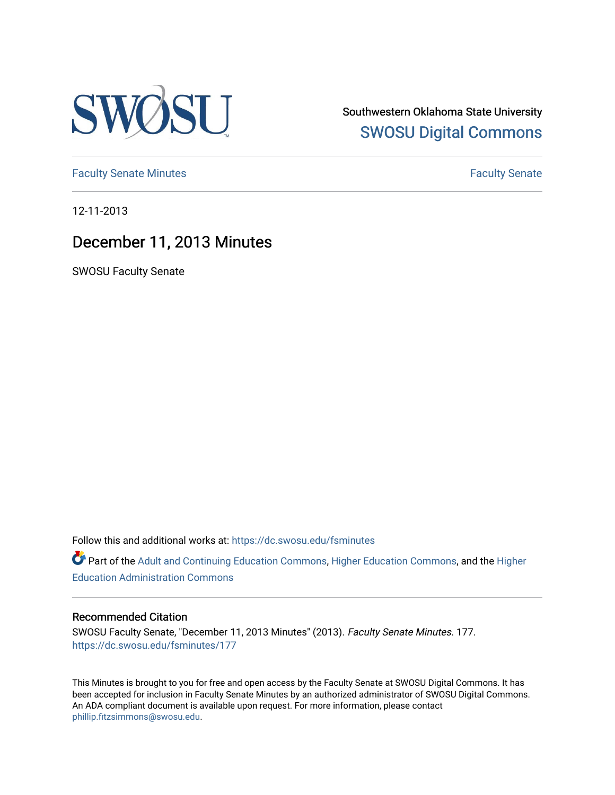

Southwestern Oklahoma State University [SWOSU Digital Commons](https://dc.swosu.edu/) 

[Faculty Senate Minutes](https://dc.swosu.edu/fsminutes) **Faculty** Senate Minutes

12-11-2013

# December 11, 2013 Minutes

SWOSU Faculty Senate

Follow this and additional works at: [https://dc.swosu.edu/fsminutes](https://dc.swosu.edu/fsminutes?utm_source=dc.swosu.edu%2Ffsminutes%2F177&utm_medium=PDF&utm_campaign=PDFCoverPages) 

Part of the [Adult and Continuing Education Commons,](http://network.bepress.com/hgg/discipline/1375?utm_source=dc.swosu.edu%2Ffsminutes%2F177&utm_medium=PDF&utm_campaign=PDFCoverPages) [Higher Education Commons,](http://network.bepress.com/hgg/discipline/1245?utm_source=dc.swosu.edu%2Ffsminutes%2F177&utm_medium=PDF&utm_campaign=PDFCoverPages) and the [Higher](http://network.bepress.com/hgg/discipline/791?utm_source=dc.swosu.edu%2Ffsminutes%2F177&utm_medium=PDF&utm_campaign=PDFCoverPages) [Education Administration Commons](http://network.bepress.com/hgg/discipline/791?utm_source=dc.swosu.edu%2Ffsminutes%2F177&utm_medium=PDF&utm_campaign=PDFCoverPages) 

#### Recommended Citation

SWOSU Faculty Senate, "December 11, 2013 Minutes" (2013). Faculty Senate Minutes. 177. [https://dc.swosu.edu/fsminutes/177](https://dc.swosu.edu/fsminutes/177?utm_source=dc.swosu.edu%2Ffsminutes%2F177&utm_medium=PDF&utm_campaign=PDFCoverPages) 

This Minutes is brought to you for free and open access by the Faculty Senate at SWOSU Digital Commons. It has been accepted for inclusion in Faculty Senate Minutes by an authorized administrator of SWOSU Digital Commons. An ADA compliant document is available upon request. For more information, please contact [phillip.fitzsimmons@swosu.edu](mailto:phillip.fitzsimmons@swosu.edu).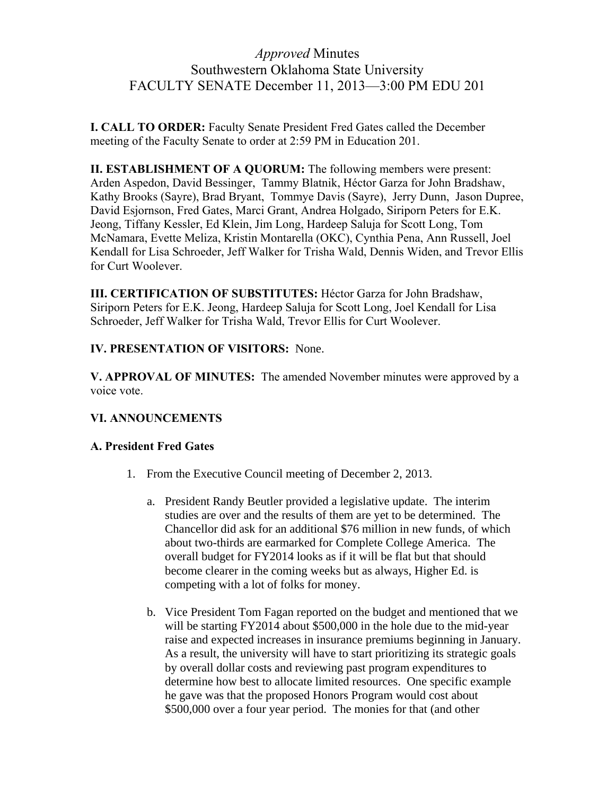# *Approved* Minutes Southwestern Oklahoma State University FACULTY SENATE December 11, 2013—3:00 PM EDU 201

**I. CALL TO ORDER:** Faculty Senate President Fred Gates called the December meeting of the Faculty Senate to order at 2:59 PM in Education 201.

**II. ESTABLISHMENT OF A QUORUM:** The following members were present: Arden Aspedon, David Bessinger, Tammy Blatnik, Héctor Garza for John Bradshaw, Kathy Brooks (Sayre), Brad Bryant, Tommye Davis (Sayre), Jerry Dunn, Jason Dupree, David Esjornson, Fred Gates, Marci Grant, Andrea Holgado, Siriporn Peters for E.K. Jeong, Tiffany Kessler, Ed Klein, Jim Long, Hardeep Saluja for Scott Long, Tom McNamara, Evette Meliza, Kristin Montarella (OKC), Cynthia Pena, Ann Russell, Joel Kendall for Lisa Schroeder, Jeff Walker for Trisha Wald, Dennis Widen, and Trevor Ellis for Curt Woolever.

**III. CERTIFICATION OF SUBSTITUTES:** Héctor Garza for John Bradshaw, Siriporn Peters for E.K. Jeong, Hardeep Saluja for Scott Long, Joel Kendall for Lisa Schroeder, Jeff Walker for Trisha Wald, Trevor Ellis for Curt Woolever.

## **IV. PRESENTATION OF VISITORS:** None.

**V. APPROVAL OF MINUTES:** The amended November minutes were approved by a voice vote.

# **VI. ANNOUNCEMENTS**

### **A. President Fred Gates**

- 1. From the Executive Council meeting of December 2, 2013.
	- a. President Randy Beutler provided a legislative update. The interim studies are over and the results of them are yet to be determined. The Chancellor did ask for an additional \$76 million in new funds, of which about two-thirds are earmarked for Complete College America. The overall budget for FY2014 looks as if it will be flat but that should become clearer in the coming weeks but as always, Higher Ed. is competing with a lot of folks for money.
	- b. Vice President Tom Fagan reported on the budget and mentioned that we will be starting FY2014 about \$500,000 in the hole due to the mid-year raise and expected increases in insurance premiums beginning in January. As a result, the university will have to start prioritizing its strategic goals by overall dollar costs and reviewing past program expenditures to determine how best to allocate limited resources. One specific example he gave was that the proposed Honors Program would cost about \$500,000 over a four year period. The monies for that (and other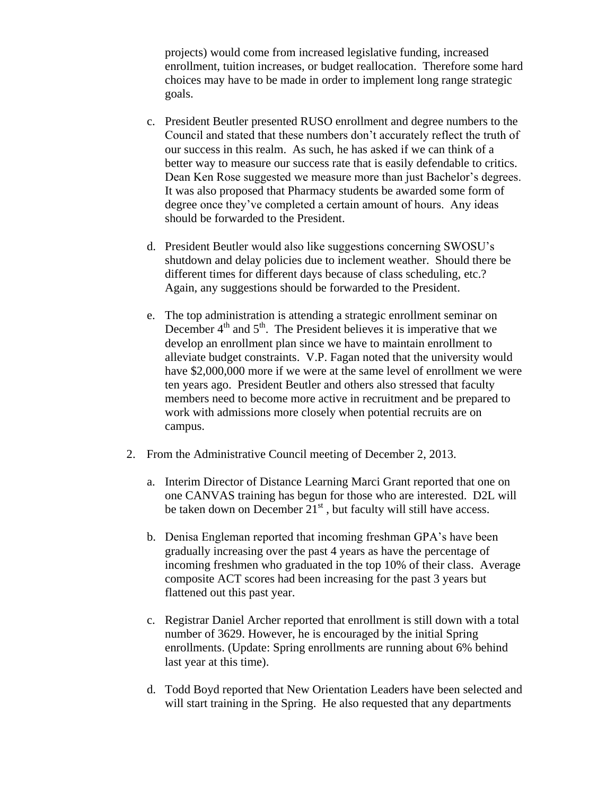projects) would come from increased legislative funding, increased enrollment, tuition increases, or budget reallocation. Therefore some hard choices may have to be made in order to implement long range strategic goals.

- c. President Beutler presented RUSO enrollment and degree numbers to the Council and stated that these numbers don't accurately reflect the truth of our success in this realm. As such, he has asked if we can think of a better way to measure our success rate that is easily defendable to critics. Dean Ken Rose suggested we measure more than just Bachelor's degrees. It was also proposed that Pharmacy students be awarded some form of degree once they've completed a certain amount of hours. Any ideas should be forwarded to the President.
- d. President Beutler would also like suggestions concerning SWOSU's shutdown and delay policies due to inclement weather. Should there be different times for different days because of class scheduling, etc.? Again, any suggestions should be forwarded to the President.
- e. The top administration is attending a strategic enrollment seminar on December  $4<sup>th</sup>$  and  $5<sup>th</sup>$ . The President believes it is imperative that we develop an enrollment plan since we have to maintain enrollment to alleviate budget constraints. V.P. Fagan noted that the university would have \$2,000,000 more if we were at the same level of enrollment we were ten years ago. President Beutler and others also stressed that faculty members need to become more active in recruitment and be prepared to work with admissions more closely when potential recruits are on campus.
- 2. From the Administrative Council meeting of December 2, 2013.
	- a. Interim Director of Distance Learning Marci Grant reported that one on one CANVAS training has begun for those who are interested. D2L will be taken down on December  $21^{st}$ , but faculty will still have access.
	- b. Denisa Engleman reported that incoming freshman GPA's have been gradually increasing over the past 4 years as have the percentage of incoming freshmen who graduated in the top 10% of their class. Average composite ACT scores had been increasing for the past 3 years but flattened out this past year.
	- c. Registrar Daniel Archer reported that enrollment is still down with a total number of 3629. However, he is encouraged by the initial Spring enrollments. (Update: Spring enrollments are running about 6% behind last year at this time).
	- d. Todd Boyd reported that New Orientation Leaders have been selected and will start training in the Spring. He also requested that any departments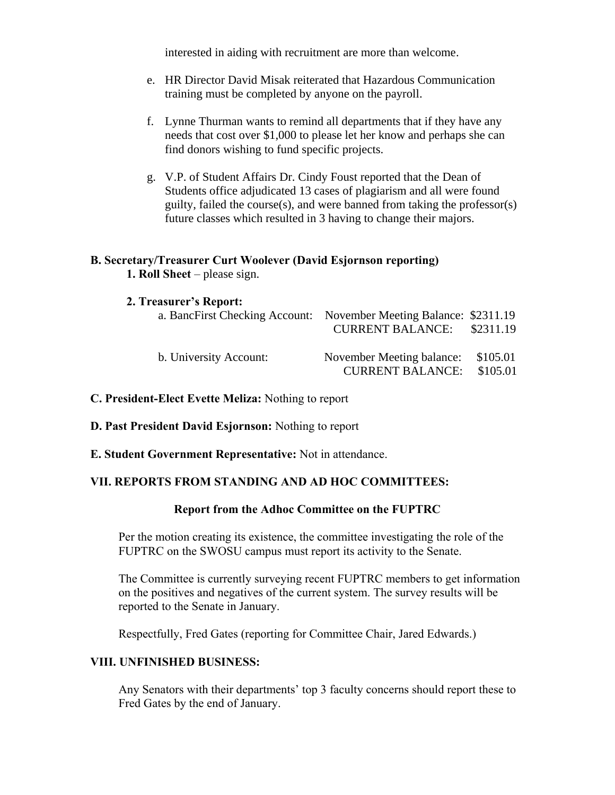interested in aiding with recruitment are more than welcome.

- e. HR Director David Misak reiterated that Hazardous Communication training must be completed by anyone on the payroll.
- f. Lynne Thurman wants to remind all departments that if they have any needs that cost over \$1,000 to please let her know and perhaps she can find donors wishing to fund specific projects.
- g. V.P. of Student Affairs Dr. Cindy Foust reported that the Dean of Students office adjudicated 13 cases of plagiarism and all were found guilty, failed the course(s), and were banned from taking the professor(s) future classes which resulted in 3 having to change their majors.

#### **B. Secretary/Treasurer Curt Woolever (David Esjornson reporting)**

**1. Roll Sheet** – please sign.

#### **2. Treasurer's Report:**

| a. BancFirst Checking Account: November Meeting Balance: \$2311.19 | <b>CURRENT BALANCE:</b>                              | \$2311.19            |
|--------------------------------------------------------------------|------------------------------------------------------|----------------------|
| b. University Account:                                             | November Meeting balance:<br><b>CURRENT BALANCE:</b> | \$105.01<br>\$105.01 |

#### **C. President-Elect Evette Meliza:** Nothing to report

- **D. Past President David Esjornson:** Nothing to report
- **E. Student Government Representative:** Not in attendance.

### **VII. REPORTS FROM STANDING AND AD HOC COMMITTEES:**

#### **Report from the Adhoc Committee on the FUPTRC**

Per the motion creating its existence, the committee investigating the role of the FUPTRC on the SWOSU campus must report its activity to the Senate.

The Committee is currently surveying recent FUPTRC members to get information on the positives and negatives of the current system. The survey results will be reported to the Senate in January.

Respectfully, Fred Gates (reporting for Committee Chair, Jared Edwards.)

#### **VIII. UNFINISHED BUSINESS:**

Any Senators with their departments' top 3 faculty concerns should report these to Fred Gates by the end of January.